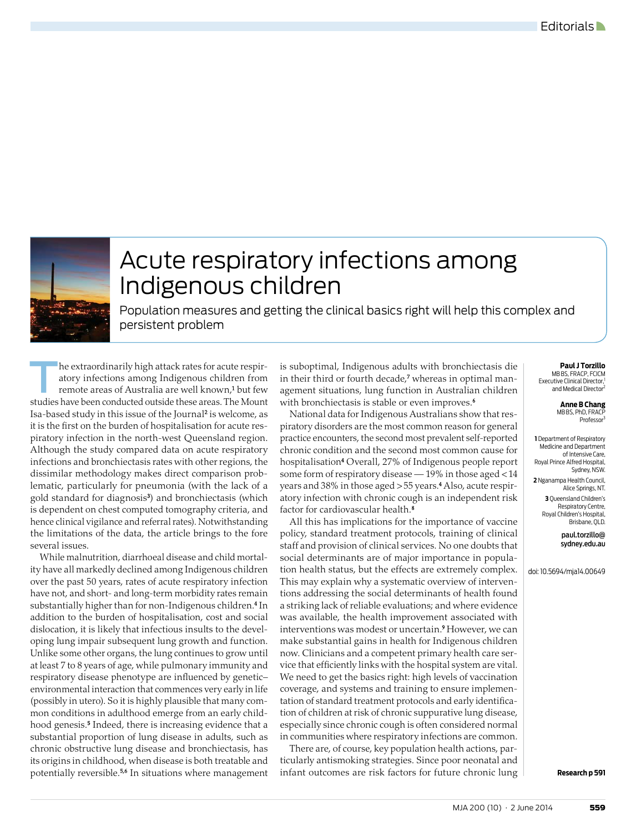

## Acute respiratory infections among Indigenous children

Population measures and getting the clinical basics right will help this complex and persistent problem

The extraordinarily high attack rates for acute respiratory infections among Indigenous children from remote areas of Australia are well known,<sup>1</sup> but few atory infections among Indigenous children from remote areas of Australia are well known,<sup>1</sup> but few studies have been conducted outside these areas. The Mount Isa-based study in this issue of the Journal<del>'</del> is welcome, as it is the first on the burden of hospitalisation for acute respiratory infection in the north-west Queensland region. Although the study compared data on acute respiratory infections and bronchiectasis rates with other regions, the dissimilar methodology makes direct comparison problematic, particularly for pneumonia (with the lack of a gold standard for diagnosis<sup>3</sup>) and bronchiectasis (which is dependent on chest computed tomography criteria, and hence clinical vigilance and referral rates). Notwithstanding the limitations of the data, the article brings to the fore several issues.

While malnutrition, diarrhoeal disease and child mortality have all markedly declined among Indigenous children over the past 50 years, rates of acute respiratory infection have not, and short- and long-term morbidity rates remain substantially higher than for non-Indigenous children.4 In addition to the burden of hospitalisation, cost and social dislocation, it is likely that infectious insults to the developing lung impair subsequent lung growth and function. Unlike some other organs, the lung continues to grow until at least 7 to 8 years of age, while pulmonary immunity and respiratory disease phenotype are influenced by geneticenvironmental interaction that commences very early in life (possibly in utero). So it is highly plausible that many common conditions in adulthood emerge from an early childhood genesis.<sup>5</sup> Indeed, there is increasing evidence that a substantial proportion of lung disease in adults, such as chronic obstructive lung disease and bronchiectasis, has its origins in childhood, when disease is both treatable and potentially reversible.<sup>5,6</sup> In situations where management

is suboptimal, Indigenous adults with bronchiectasis die in their third or fourth decade,**7** whereas in optimal management situations, lung function in Australian children with bronchiectasis is stable or even improves.<sup>6</sup>

National data for Indigenous Australians show that respiratory disorders are the most common reason for general practice encounters, the second most prevalent self-reported chronic condition and the second most common cause for hospitalisation4 Overall, 27% of Indigenous people report some form of respiratory disease — 19% in those aged < 14 years and 38% in those aged > 55 years.4 Also, acute respiratory infection with chronic cough is an independent risk factor for cardiovascular health.8

All this has implications for the importance of vaccine policy, standard treatment protocols, training of clinical staff and provision of clinical services. No one doubts that social determinants are of major importance in population health status, but the effects are extremely complex. This may explain why a systematic overview of interventions addressing the social determinants of health found a striking lack of reliable evaluations; and where evidence was available, the health improvement associated with interventions was modest or uncertain.9 However, we can make substantial gains in health for Indigenous children now. Clinicians and a competent primary health care service that efficiently links with the hospital system are vital. We need to get the basics right: high levels of vaccination coverage, and systems and training to ensure implementation of standard treatment protocols and early identification of children at risk of chronic suppurative lung disease, especially since chronic cough is often considered normal in communities where respiratory infections are common.

There are, of course, key population health actions, particularly antismoking strategies. Since poor neonatal and infant outcomes are risk factors for future chronic lung  $\vert$  **Research p 591** 

## **Paul J Torzillo** MB BS, FRACP, FCICM Executive Clinical Director, and Medical Director

**Anne B Chang**

MBBS, PhD, FRAC Professor

**1** Department of Respiratory Medicine and Department of Intensive Care, Royal Prince Alfred Hospital, Sydney, NSW. **2** Nganampa Health Council,

Alice Springs, NT.

**3** Queensland Children's Respiratory Centre, Royal Children's Hospital, Brisbane, QLD.

> paul.torzillo@ sydney.edu.au

doi: 10.5694/mja14.00649